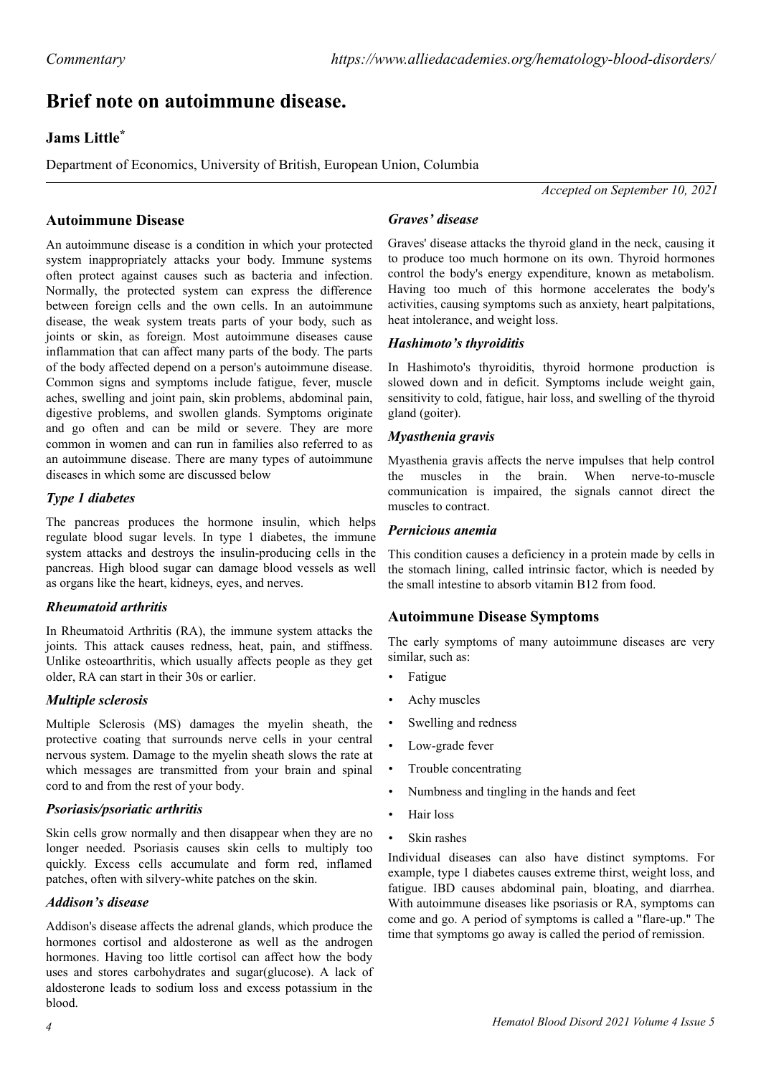# **Brief note on autoimmune disease.**

## **Jams Little\***

Department of Economics, University of British, European Union, Columbia

*Accepted on September 10, 2021*

### **Autoimmune Disease**

An autoimmune disease is a condition in which your protected system inappropriately attacks your body. Immune systems often protect against causes such as bacteria and infection. Normally, the protected system can express the difference between foreign cells and the own cells. In an autoimmune disease, the weak system treats parts of your body, such as joints or skin, as foreign. Most autoimmune diseases cause inflammation that can affect many parts of the body. The parts of the body affected depend on a person's autoimmune disease. Common signs and symptoms include fatigue, fever, muscle aches, swelling and joint pain, skin problems, abdominal pain, digestive problems, and swollen glands. Symptoms originate and go often and can be mild or severe. They are more common in women and can run in families also referred to as an autoimmune disease. There are many types of autoimmune diseases in which some are discussed below

#### *Type 1 diabetes*

The pancreas produces the hormone insulin, which helps regulate blood sugar levels. In type 1 diabetes, the immune system attacks and destroys the insulin-producing cells in the pancreas. High blood sugar can damage blood vessels as well as organs like the heart, kidneys, eyes, and nerves.

#### *Rheumatoid arthritis*

In Rheumatoid Arthritis (RA), the immune system attacks the joints. This attack causes redness, heat, pain, and stiffness. Unlike osteoarthritis, which usually affects people as they get older, RA can start in their 30s or earlier.

#### *Multiple sclerosis*

Multiple Sclerosis (MS) damages the myelin sheath, the protective coating that surrounds nerve cells in your central nervous system. Damage to the myelin sheath slows the rate at which messages are transmitted from your brain and spinal cord to and from the rest of your body.

#### *Psoriasis/psoriatic arthritis*

Skin cells grow normally and then disappear when they are no longer needed. Psoriasis causes skin cells to multiply too quickly. Excess cells accumulate and form red, inflamed patches, often with silvery-white patches on the skin.

#### *Addison's disease*

Addison's disease affects the adrenal glands, which produce the hormones cortisol and aldosterone as well as the androgen hormones. Having too little cortisol can affect how the body uses and stores carbohydrates and sugar(glucose). A lack of aldosterone leads to sodium loss and excess potassium in the blood.

### *Graves' disease*

Graves' disease attacks the thyroid gland in the neck, causing it to produce too much hormone on its own. Thyroid hormones control the body's energy expenditure, known as metabolism. Having too much of this hormone accelerates the body's activities, causing symptoms such as anxiety, heart palpitations, heat intolerance, and weight loss.

#### *Hashimoto's thyroiditis*

In Hashimoto's thyroiditis, thyroid hormone production is slowed down and in deficit. Symptoms include weight gain, sensitivity to cold, fatigue, hair loss, and swelling of the thyroid gland (goiter).

#### *Myasthenia gravis*

Myasthenia gravis affects the nerve impulses that help control the muscles in the brain. When nerve-to-muscle communication is impaired, the signals cannot direct the muscles to contract.

#### *Pernicious anemia*

This condition causes a deficiency in a protein made by cells in the stomach lining, called intrinsic factor, which is needed by the small intestine to absorb vitamin B12 from food.

#### **Autoimmune Disease Symptoms**

The early symptoms of many autoimmune diseases are very similar, such as:

- **Fatigue**
- Achy muscles
- Swelling and redness
- Low-grade fever
- Trouble concentrating
- Numbness and tingling in the hands and feet
- Hair loss
- Skin rashes

Individual diseases can also have distinct symptoms. For example, type 1 diabetes causes extreme thirst, weight loss, and fatigue. IBD causes abdominal pain, bloating, and diarrhea. With autoimmune diseases like psoriasis or RA, symptoms can come and go. A period of symptoms is called a "flare-up." The time that symptoms go away is called the period of remission.